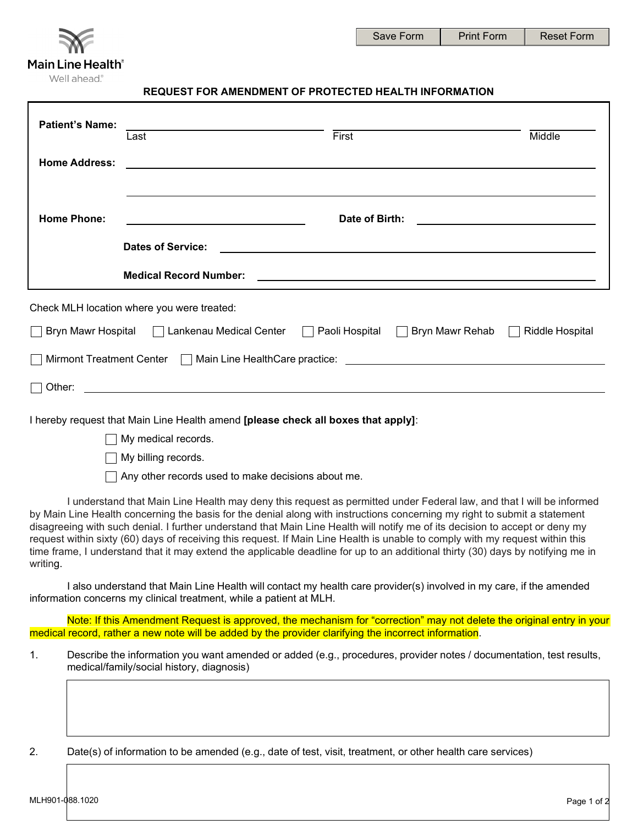

## **REQUEST FOR AMENDMENT OF PROTECTED HEALTH INFORMATION**

| <b>Patient's Name:</b>                                                                                                                                | Last                                                                                                        | First |                                                                                                                       | Middle          |  |  |
|-------------------------------------------------------------------------------------------------------------------------------------------------------|-------------------------------------------------------------------------------------------------------------|-------|-----------------------------------------------------------------------------------------------------------------------|-----------------|--|--|
| <b>Home Address:</b>                                                                                                                                  | <u> 1989 - Johann John Stein, markin sanadi a shekara 1989 - An an tsarani a shekara 1989 - An an tsara</u> |       |                                                                                                                       |                 |  |  |
| <b>Home Phone:</b>                                                                                                                                    | Date of Birth:<br><u> 1980 - Jan Barnett, fransk politik (d. 1980)</u>                                      |       |                                                                                                                       |                 |  |  |
|                                                                                                                                                       | <b>Dates of Service:</b>                                                                                    |       | <u> 1989 - Johann John Stoff, deutscher Stoffen und der Stoffen und der Stoffen und der Stoffen und der Stoffen u</u> |                 |  |  |
| <b>Medical Record Number:</b><br><u> 1989 - Johann Barn, mars ann an t-Amhainn an t-Amhainn an t-Amhainn an t-Amhainn an t-Amhainn an t-Amhainn a</u> |                                                                                                             |       |                                                                                                                       |                 |  |  |
| Check MLH location where you were treated:                                                                                                            |                                                                                                             |       |                                                                                                                       |                 |  |  |
|                                                                                                                                                       | Bryn Mawr Hospital □ Lankenau Medical Center                                                                |       | Paoli Hospital □ Bryn Mawr Rehab                                                                                      | Riddle Hospital |  |  |
| <b>Mirmont Treatment Center</b><br>$\mathbf{I}$                                                                                                       |                                                                                                             |       |                                                                                                                       |                 |  |  |
| Other:                                                                                                                                                |                                                                                                             |       |                                                                                                                       |                 |  |  |

I hereby request that Main Line Health amend **[please check all boxes that apply]**:

My medical records.

My billing records.

 $\Box$  Any other records used to make decisions about me.

I understand that Main Line Health may deny this request as permitted under Federal law, and that I will be informed by Main Line Health concerning the basis for the denial along with instructions concerning my right to submit a statement disagreeing with such denial. I further understand that Main Line Health will notify me of its decision to accept or deny my request within sixty (60) days of receiving this request. If Main Line Health is unable to comply with my request within this time frame, I understand that it may extend the applicable deadline for up to an additional thirty (30) days by notifying me in writing.

I also understand that Main Line Health will contact my health care provider(s) involved in my care, if the amended information concerns my clinical treatment, while a patient at MLH.

Note: If this Amendment Request is approved, the mechanism for "correction" may not delete the original entry in your medical record, rather a new note will be added by the provider clarifying the incorrect information.

1. Describe the information you want amended or added (e.g., procedures, provider notes / documentation, test results, medical/family/social history, diagnosis)

2. Date(s) of information to be amended (e.g., date of test, visit, treatment, or other health care services)